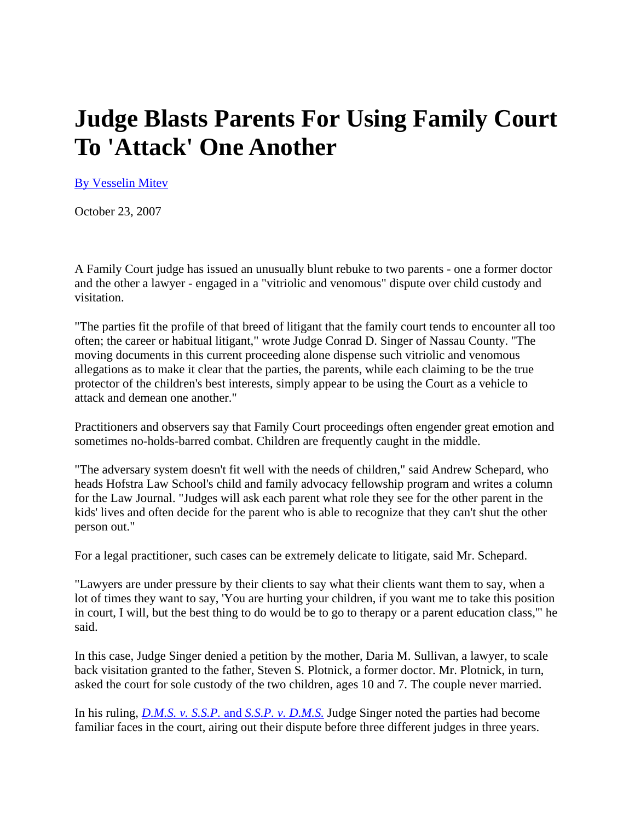## **Judge Blasts Parents For Using Family Court To 'Attack' One Another**

By Vesselin Mitev

October 23, 2007

A Family Court judge has issued an unusually blunt rebuke to two parents - one a former doctor and the other a lawyer - engaged in a "vitriolic and venomous" dispute over child custody and visitation.

"The parties fit the profile of that breed of litigant that the family court tends to encounter all too often; the career or habitual litigant," wrote Judge Conrad D. Singer of Nassau County. "The moving documents in this current proceeding alone dispense such vitriolic and venomous allegations as to make it clear that the parties, the parents, while each claiming to be the true protector of the children's best interests, simply appear to be using the Court as a vehicle to attack and demean one another."

Practitioners and observers say that Family Court proceedings often engender great emotion and sometimes no-holds-barred combat. Children are frequently caught in the middle.

"The adversary system doesn't fit well with the needs of children," said Andrew Schepard, who heads Hofstra Law School's child and family advocacy fellowship program and writes a column for the Law Journal. "Judges will ask each parent what role they see for the other parent in the kids' lives and often decide for the parent who is able to recognize that they can't shut the other person out."

For a legal practitioner, such cases can be extremely delicate to litigate, said Mr. Schepard.

"Lawyers are under pressure by their clients to say what their clients want them to say, when a lot of times they want to say, 'You are hurting your children, if you want me to take this position in court, I will, but the best thing to do would be to go to therapy or a parent education class,'" he said.

In this case, Judge Singer denied a petition by the mother, Daria M. Sullivan, a lawyer, to scale back visitation granted to the father, Steven S. Plotnick, a former doctor. Mr. Plotnick, in turn, asked the court for sole custody of the two children, ages 10 and 7. The couple never married.

In his ruling, *D.M.S. v. S.S.P.* and *S.S.P. v. D.M.S.* Judge Singer noted the parties had become familiar faces in the court, airing out their dispute before three different judges in three years.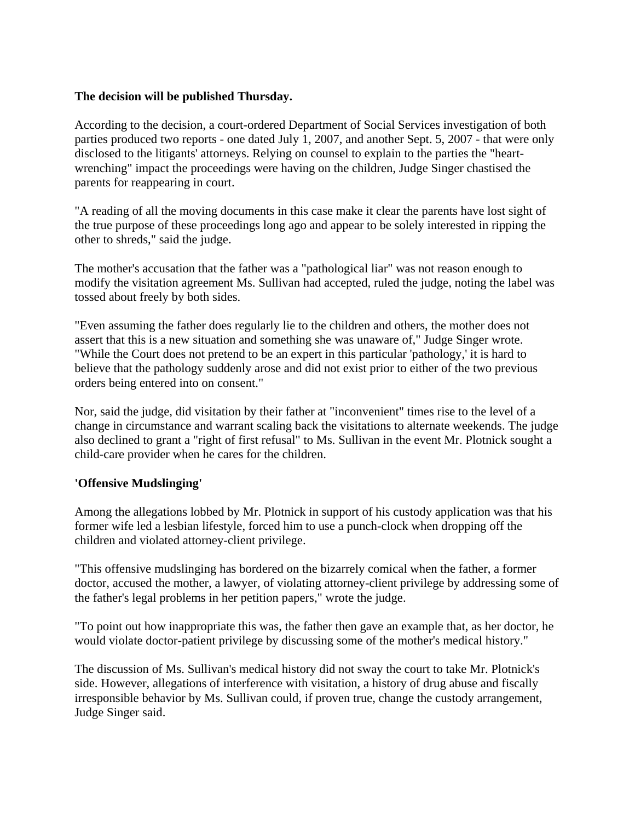## **The decision will be published Thursday.**

According to the decision, a court-ordered Department of Social Services investigation of both parties produced two reports - one dated July 1, 2007, and another Sept. 5, 2007 - that were only disclosed to the litigants' attorneys. Relying on counsel to explain to the parties the "heartwrenching" impact the proceedings were having on the children, Judge Singer chastised the parents for reappearing in court.

"A reading of all the moving documents in this case make it clear the parents have lost sight of the true purpose of these proceedings long ago and appear to be solely interested in ripping the other to shreds," said the judge.

The mother's accusation that the father was a "pathological liar" was not reason enough to modify the visitation agreement Ms. Sullivan had accepted, ruled the judge, noting the label was tossed about freely by both sides.

"Even assuming the father does regularly lie to the children and others, the mother does not assert that this is a new situation and something she was unaware of," Judge Singer wrote. "While the Court does not pretend to be an expert in this particular 'pathology,' it is hard to believe that the pathology suddenly arose and did not exist prior to either of the two previous orders being entered into on consent."

Nor, said the judge, did visitation by their father at "inconvenient" times rise to the level of a change in circumstance and warrant scaling back the visitations to alternate weekends. The judge also declined to grant a "right of first refusal" to Ms. Sullivan in the event Mr. Plotnick sought a child-care provider when he cares for the children.

## **'Offensive Mudslinging'**

Among the allegations lobbed by Mr. Plotnick in support of his custody application was that his former wife led a lesbian lifestyle, forced him to use a punch-clock when dropping off the children and violated attorney-client privilege.

"This offensive mudslinging has bordered on the bizarrely comical when the father, a former doctor, accused the mother, a lawyer, of violating attorney-client privilege by addressing some of the father's legal problems in her petition papers," wrote the judge.

"To point out how inappropriate this was, the father then gave an example that, as her doctor, he would violate doctor-patient privilege by discussing some of the mother's medical history."

The discussion of Ms. Sullivan's medical history did not sway the court to take Mr. Plotnick's side. However, allegations of interference with visitation, a history of drug abuse and fiscally irresponsible behavior by Ms. Sullivan could, if proven true, change the custody arrangement, Judge Singer said.